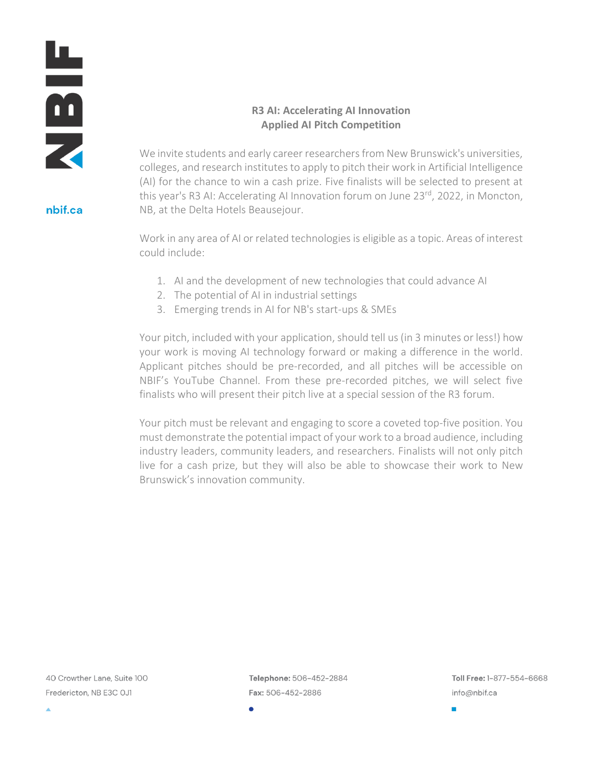

nbif.ca

# **R3 AI: Accelerating AI Innovation Applied AI Pitch Competition**

We invite students and early career researchers from New Brunswick's universities, colleges, and research institutes to apply to pitch their work in Artificial Intelligence (AI) for the chance to win a cash prize. Five finalists will be selected to present at this year's R3 AI: Accelerating AI Innovation forum on June 23rd, 2022, in Moncton, NB, at the Delta Hotels Beausejour.

Work in any area of AI or related technologies is eligible as a topic. Areas of interest could include:

- 1. AI and the development of new technologies that could advance AI
- 2. The potential of AI in industrial settings
- 3. Emerging trends in AI for NB's start-ups & SMEs

Your pitch, included with your application, should tell us (in 3 minutes or less!) how your work is moving AI technology forward or making a difference in the world. Applicant pitches should be pre-recorded, and all pitches will be accessible on NBIF's YouTube Channel. From these pre-recorded pitches, we will select five finalists who will present their pitch live at a special session of the R3 forum.

Your pitch must be relevant and engaging to score a coveted top-five position. You must demonstrate the potential impact of your work to a broad audience, including industry leaders, community leaders, and researchers. Finalists will not only pitch live for a cash prize, but they will also be able to showcase their work to New Brunswick's innovation community.

40 Crowther Lane, Suite 100 Fredericton, NB E3C OJ1

Telephone: 506-452-2884 Fax: 506-452-2886

Toll Free: 1-877-554-6668 info@nbif.ca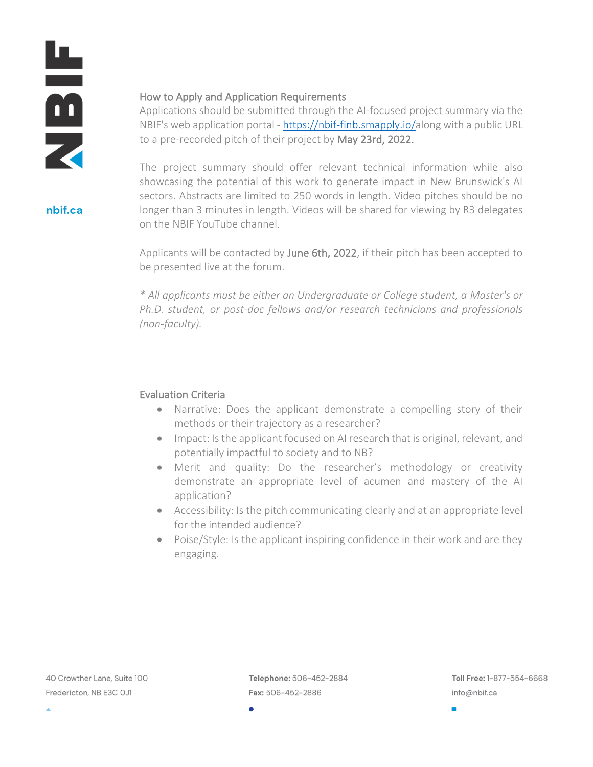山田の

nbif.ca

### How to Apply and Application Requirements

Applications should be submitted through the AI-focused project summary via the NBIF's web application portal - [https://nbif-finb.smapply.io/a](https://nbif-finb.smapply.io/)long with a public URL to a pre-recorded pitch of their project by May 23rd, 2022.

The project summary should offer relevant technical information while also showcasing the potential of this work to generate impact in New Brunswick's AI sectors. Abstracts are limited to 250 words in length. Video pitches should be no longer than 3 minutes in length. Videos will be shared for viewing by R3 delegates on the NBIF YouTube channel.

Applicants will be contacted by June 6th, 2022, if their pitch has been accepted to be presented live at the forum.

*\* All applicants must be either an Undergraduate or College student, a Master's or Ph.D. student, or post-doc fellows and/or research technicians and professionals (non-faculty).*

### Evaluation Criteria

- Narrative: Does the applicant demonstrate a compelling story of their methods or their trajectory as a researcher?
- Impact: Is the applicant focused on AI research that is original, relevant, and potentially impactful to society and to NB?
- Merit and quality: Do the researcher's methodology or creativity demonstrate an appropriate level of acumen and mastery of the AI application?
- Accessibility: Is the pitch communicating clearly and at an appropriate level for the intended audience?
- Poise/Style: Is the applicant inspiring confidence in their work and are they engaging.

 $\blacksquare$